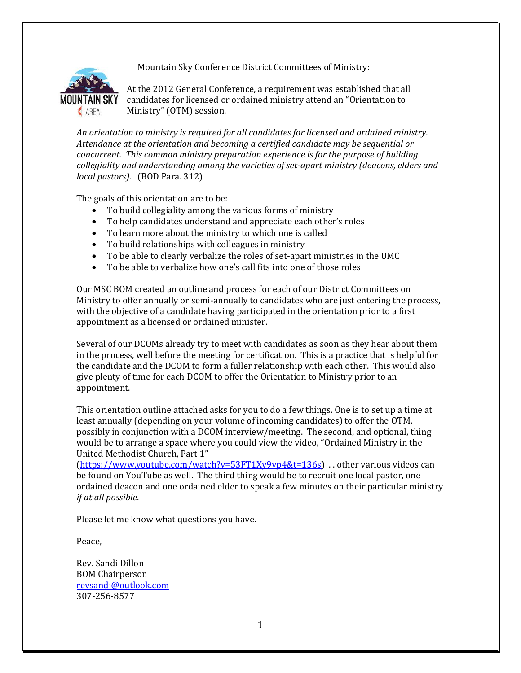Mountain Sky Conference District Committees of Ministry:



At the 2012 General Conference, a requirement was established that all candidates for licensed or ordained ministry attend an "Orientation to Ministry" (OTM) session.

*An orientation to ministry is required for all candidates for licensed and ordained ministry. Attendance at the orientation and becoming a certified candidate may be sequential or concurrent. This common ministry preparation experience is for the purpose of building collegiality and understanding among the varieties of set-apart ministry (deacons, elders and local pastors).* (BOD Para. 312)

The goals of this orientation are to be:

- To build collegiality among the various forms of ministry
- To help candidates understand and appreciate each other's roles
- To learn more about the ministry to which one is called
- To build relationships with colleagues in ministry
- To be able to clearly verbalize the roles of set-apart ministries in the UMC
- To be able to verbalize how one's call fits into one of those roles

Our MSC BOM created an outline and process for each of our District Committees on Ministry to offer annually or semi-annually to candidates who are just entering the process, with the objective of a candidate having participated in the orientation prior to a first appointment as a licensed or ordained minister.

Several of our DCOMs already try to meet with candidates as soon as they hear about them in the process, well before the meeting for certification. This is a practice that is helpful for the candidate and the DCOM to form a fuller relationship with each other. This would also give plenty of time for each DCOM to offer the Orientation to Ministry prior to an appointment.

This orientation outline attached asks for you to do a few things. One is to set up a time at least annually (depending on your volume of incoming candidates) to offer the OTM, possibly in conjunction with a DCOM interview/meeting. The second, and optional, thing would be to arrange a space where you could view the video, "Ordained Ministry in the United Methodist Church, Part 1"

[\(https://www.youtube.com/watch?v=53FT1Xy9vp4&t=136s\)](https://www.youtube.com/watch?v=53FT1Xy9vp4&t=136s) . . other various videos can be found on YouTube as well. The third thing would be to recruit one local pastor, one ordained deacon and one ordained elder to speak a few minutes on their particular ministry *if at all possible*.

Please let me know what questions you have.

Peace,

Rev. Sandi Dillon BOM Chairperson [revsandi@outlook.com](mailto:revsandi@outlook.com) 307-256-8577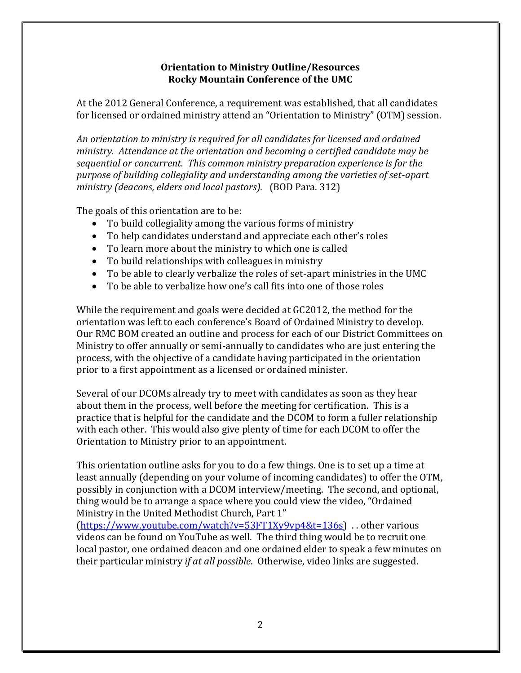## **Orientation to Ministry Outline/Resources Rocky Mountain Conference of the UMC**

At the 2012 General Conference, a requirement was established, that all candidates for licensed or ordained ministry attend an "Orientation to Ministry" (OTM) session.

*An orientation to ministry is required for all candidates for licensed and ordained ministry. Attendance at the orientation and becoming a certified candidate may be sequential or concurrent. This common ministry preparation experience is for the purpose of building collegiality and understanding among the varieties of set-apart ministry (deacons, elders and local pastors).* (BOD Para. 312)

The goals of this orientation are to be:

- To build collegiality among the various forms of ministry
- To help candidates understand and appreciate each other's roles
- To learn more about the ministry to which one is called
- To build relationships with colleagues in ministry
- To be able to clearly verbalize the roles of set-apart ministries in the UMC
- To be able to verbalize how one's call fits into one of those roles

While the requirement and goals were decided at GC2012, the method for the orientation was left to each conference's Board of Ordained Ministry to develop. Our RMC BOM created an outline and process for each of our District Committees on Ministry to offer annually or semi-annually to candidates who are just entering the process, with the objective of a candidate having participated in the orientation prior to a first appointment as a licensed or ordained minister.

Several of our DCOMs already try to meet with candidates as soon as they hear about them in the process, well before the meeting for certification. This is a practice that is helpful for the candidate and the DCOM to form a fuller relationship with each other. This would also give plenty of time for each DCOM to offer the Orientation to Ministry prior to an appointment.

This orientation outline asks for you to do a few things. One is to set up a time at least annually (depending on your volume of incoming candidates) to offer the OTM, possibly in conjunction with a DCOM interview/meeting. The second, and optional, thing would be to arrange a space where you could view the video, "Ordained Ministry in the United Methodist Church, Part 1"

[\(https://www.youtube.com/watch?v=53FT1Xy9vp4&t=136s\)](https://www.youtube.com/watch?v=53FT1Xy9vp4&t=136s) . . other various videos can be found on YouTube as well. The third thing would be to recruit one local pastor, one ordained deacon and one ordained elder to speak a few minutes on their particular ministry *if at all possible*. Otherwise, video links are suggested.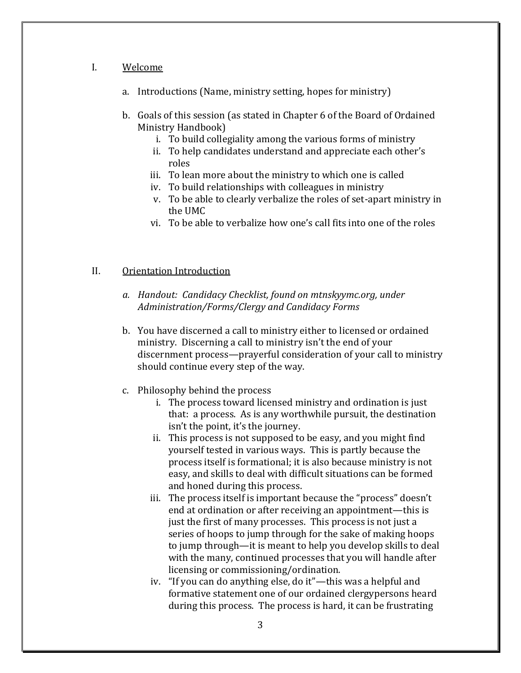#### I. Welcome

- a. Introductions (Name, ministry setting, hopes for ministry)
- b. Goals of this session (as stated in Chapter 6 of the Board of Ordained Ministry Handbook)
	- i. To build collegiality among the various forms of ministry
	- ii. To help candidates understand and appreciate each other's roles
	- iii. To lean more about the ministry to which one is called
	- iv. To build relationships with colleagues in ministry
	- v. To be able to clearly verbalize the roles of set-apart ministry in the UMC
	- vi. To be able to verbalize how one's call fits into one of the roles

### II. Orientation Introduction

- *a. Handout: Candidacy Checklist, found on mtnskyymc.org, under Administration/Forms/Clergy and Candidacy Forms*
- b. You have discerned a call to ministry either to licensed or ordained ministry. Discerning a call to ministry isn't the end of your discernment process—prayerful consideration of your call to ministry should continue every step of the way.
- c. Philosophy behind the process
	- i. The process toward licensed ministry and ordination is just that: a process. As is any worthwhile pursuit, the destination isn't the point, it's the journey.
	- ii. This process is not supposed to be easy, and you might find yourself tested in various ways. This is partly because the process itself is formational; it is also because ministry is not easy, and skills to deal with difficult situations can be formed and honed during this process.
	- iii. The process itself is important because the "process" doesn't end at ordination or after receiving an appointment—this is just the first of many processes. This process is not just a series of hoops to jump through for the sake of making hoops to jump through—it is meant to help you develop skills to deal with the many, continued processes that you will handle after licensing or commissioning/ordination.
	- iv. "If you can do anything else, do it"—this was a helpful and formative statement one of our ordained clergypersons heard during this process. The process is hard, it can be frustrating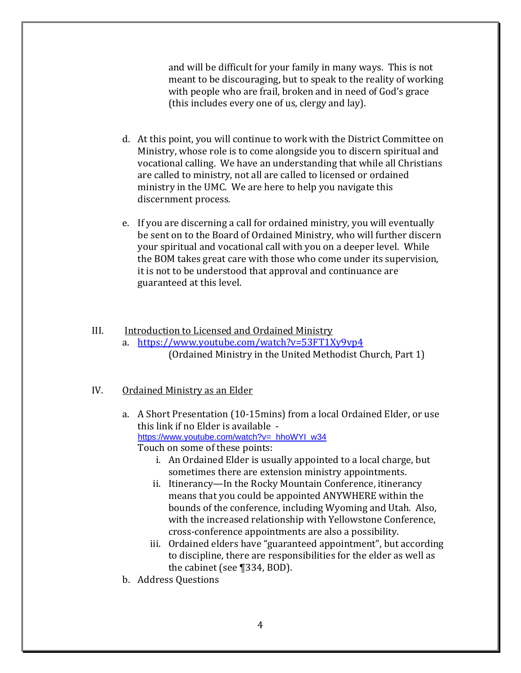and will be difficult for your family in many ways. This is not meant to be discouraging, but to speak to the reality of working with people who are frail, broken and in need of God's grace (this includes every one of us, clergy and lay).

- d. At this point, you will continue to work with the District Committee on Ministry, whose role is to come alongside you to discern spiritual and vocational calling. We have an understanding that while all Christians are called to ministry, not all are called to licensed or ordained ministry in the UMC. We are here to help you navigate this discernment process.
- e. If you are discerning a call for ordained ministry, you will eventually be sent on to the Board of Ordained Ministry, who will further discern your spiritual and vocational call with you on a deeper level. While the BOM takes great care with those who come under its supervision, it is not to be understood that approval and continuance are guaranteed at this level.

# III. **Introduction to Licensed and Ordained Ministry**

a. <https://www.youtube.com/watch?v=53FT1Xy9vp4> (Ordained Ministry in the United Methodist Church, Part 1)

## IV. Ordained Ministry as an Elder

- a. A Short Presentation (10-15mins) from a local Ordained Elder, or use this link if no Elder is available [https://www.youtube.com/watch?v=\\_hhoWYI\\_w34](https://www.youtube.com/watch?v=_hhoWYI_w34) Touch on some of these points:
	- i. An Ordained Elder is usually appointed to a local charge, but sometimes there are extension ministry appointments.
	- ii. Itinerancy—In the Rocky Mountain Conference, itinerancy means that you could be appointed ANYWHERE within the bounds of the conference, including Wyoming and Utah. Also, with the increased relationship with Yellowstone Conference, cross-conference appointments are also a possibility.
	- iii. Ordained elders have "guaranteed appointment", but according to discipline, there are responsibilities for the elder as well as the cabinet (see ¶334, BOD).
- b. Address Questions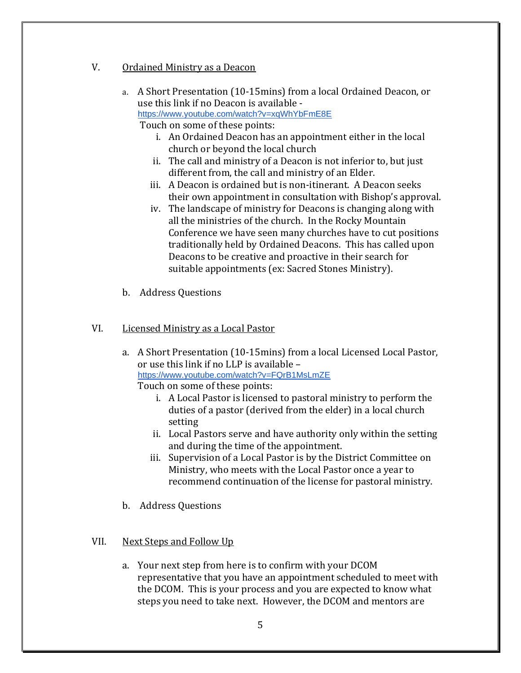- V. Ordained Ministry as a Deacon
	- a. A Short Presentation (10-15mins) from a local Ordained Deacon, or use this link if no Deacon is available <https://www.youtube.com/watch?v=xqWhYbFmE8E>

Touch on some of these points:

- i. An Ordained Deacon has an appointment either in the local church or beyond the local church
- ii. The call and ministry of a Deacon is not inferior to, but just different from, the call and ministry of an Elder.
- iii. A Deacon is ordained but is non-itinerant. A Deacon seeks their own appointment in consultation with Bishop's approval.
- iv. The landscape of ministry for Deacons is changing along with all the ministries of the church. In the Rocky Mountain Conference we have seen many churches have to cut positions traditionally held by Ordained Deacons. This has called upon Deacons to be creative and proactive in their search for suitable appointments (ex: Sacred Stones Ministry).
- b. Address Questions

## VI. Licensed Ministry as a Local Pastor

- a. A Short Presentation (10-15mins) from a local Licensed Local Pastor, or use this link if no LLP is available – <https://www.youtube.com/watch?v=FQrB1MsLmZE> Touch on some of these points:
	- i. A Local Pastor is licensed to pastoral ministry to perform the duties of a pastor (derived from the elder) in a local church setting
	- ii. Local Pastors serve and have authority only within the setting and during the time of the appointment.
	- iii. Supervision of a Local Pastor is by the District Committee on Ministry, who meets with the Local Pastor once a year to recommend continuation of the license for pastoral ministry.
- b. Address Questions

## VII. Next Steps and Follow Up

a. Your next step from here is to confirm with your DCOM representative that you have an appointment scheduled to meet with the DCOM. This is your process and you are expected to know what steps you need to take next. However, the DCOM and mentors are